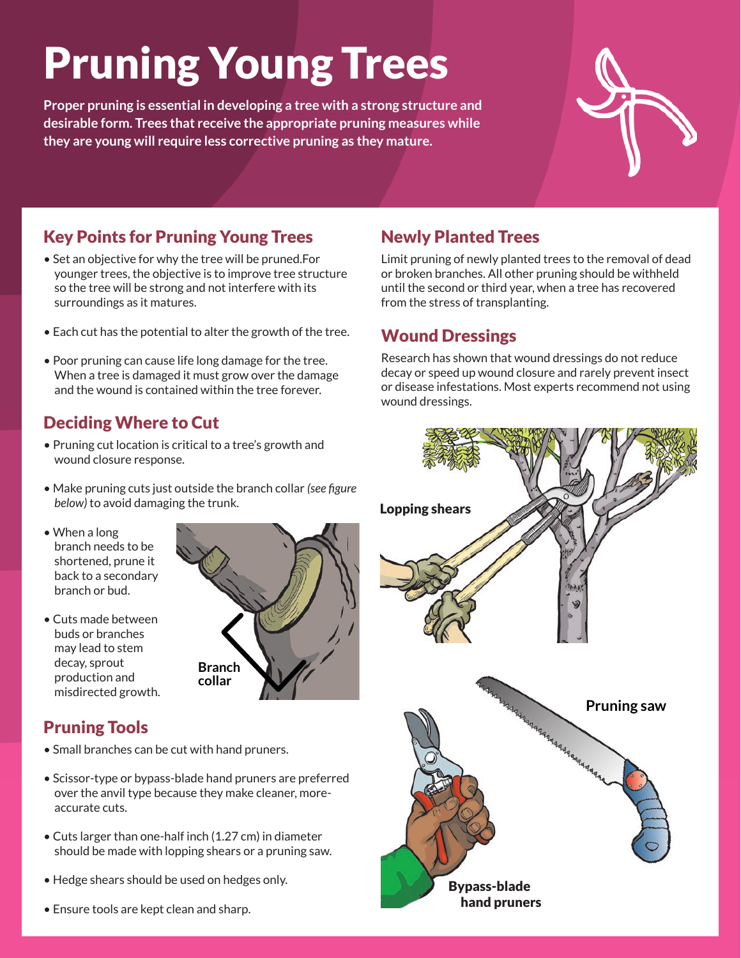# Pruning Young Trees

**Proper pruning is essential in developing a tree with a strong structure and desirable form. Trees that receive the appropriate pruning measures while they are young will require less corrective pruning as they mature.**



## Key Points for Pruning Young Trees

- Set an objective for why the tree will be pruned.For younger trees, the objective is to improve tree structure so the tree will be strong and not interfere with its surroundings as it matures.
- Each cut has the potential to alter the growth of the tree.
- Poor pruning can cause life long damage for the tree. When a tree is damaged it must grow over the damage and the wound is contained within the tree forever.

## Deciding Where to Cut

- Pruning cut location is critical to a tree's growth and wound closure response.
- Make pruning cuts just outside the branch collar *(see figure below)* to avoid damaging the trunk.
- When a long branch needs to be shortened, prune it back to a secondary branch or bud.
- Cuts made between buds or branches may lead to stem decay, sprout production and misdirected growth.



## Pruning Tools

- Small branches can be cut with hand pruners.
- Scissor-type or bypass-blade hand pruners are preferred over the anvil type because they make cleaner, moreaccurate cuts.
- Cuts larger than one-half inch (1.27 cm) in diameter should be made with lopping shears or a pruning saw.
- Hedge shears should be used on hedges only.
- Ensure tools are kept clean and sharp.

## Newly Planted Trees

Limit pruning of newly planted trees to the removal of dead or broken branches. All other pruning should be withheld until the second or third year, when a tree has recovered from the stress of transplanting.

### Wound Dressings

Research has shown that wound dressings do not reduce decay or speed up wound closure and rarely prevent insect or disease infestations. Most experts recommend not using wound dressings.